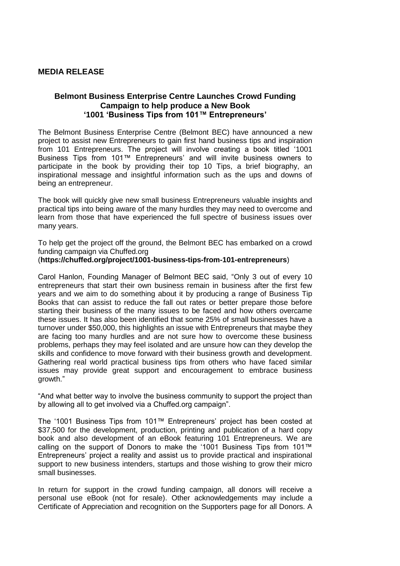## **MEDIA RELEASE**

# **Belmont Business Enterprise Centre Launches Crowd Funding Campaign to help produce a New Book '1001 'Business Tips from 101™ Entrepreneurs'**

The Belmont Business Enterprise Centre (Belmont BEC) have announced a new project to assist new Entrepreneurs to gain first hand business tips and inspiration from 101 Entrepreneurs. The project will involve creating a book titled '1001 Business Tips from 101™ Entrepreneurs' and will invite business owners to participate in the book by providing their top 10 Tips, a brief biography, an inspirational message and insightful information such as the ups and downs of being an entrepreneur.

The book will quickly give new small business Entrepreneurs valuable insights and practical tips into being aware of the many hurdles they may need to overcome and learn from those that have experienced the full spectre of business issues over many years.

To help get the project off the ground, the Belmont BEC has embarked on a crowd funding campaign via Chuffed.org

# (**https://chuffed.org/project/1001-business-tips-from-101-entrepreneurs**)

Carol Hanlon, Founding Manager of Belmont BEC said, "Only 3 out of every 10 entrepreneurs that start their own business remain in business after the first few years and we aim to do something about it by producing a range of Business Tip Books that can assist to reduce the fall out rates or better prepare those before starting their business of the many issues to be faced and how others overcame these issues. It has also been identified that some 25% of small businesses have a turnover under \$50,000, this highlights an issue with Entrepreneurs that maybe they are facing too many hurdles and are not sure how to overcome these business problems, perhaps they may feel isolated and are unsure how can they develop the skills and confidence to move forward with their business growth and development. Gathering real world practical business tips from others who have faced similar issues may provide great support and encouragement to embrace business growth."

"And what better way to involve the business community to support the project than by allowing all to get involved via a Chuffed.org campaign".

The '1001 Business Tips from 101™ Entrepreneurs' project has been costed at \$37,500 for the development, production, printing and publication of a hard copy book and also development of an eBook featuring 101 Entrepreneurs. We are calling on the support of Donors to make the '1001 Business Tips from 101™ Entrepreneurs' project a reality and assist us to provide practical and inspirational support to new business intenders, startups and those wishing to grow their micro small businesses.

In return for support in the crowd funding campaign, all donors will receive a personal use eBook (not for resale). Other acknowledgements may include a Certificate of Appreciation and recognition on the Supporters page for all Donors. A